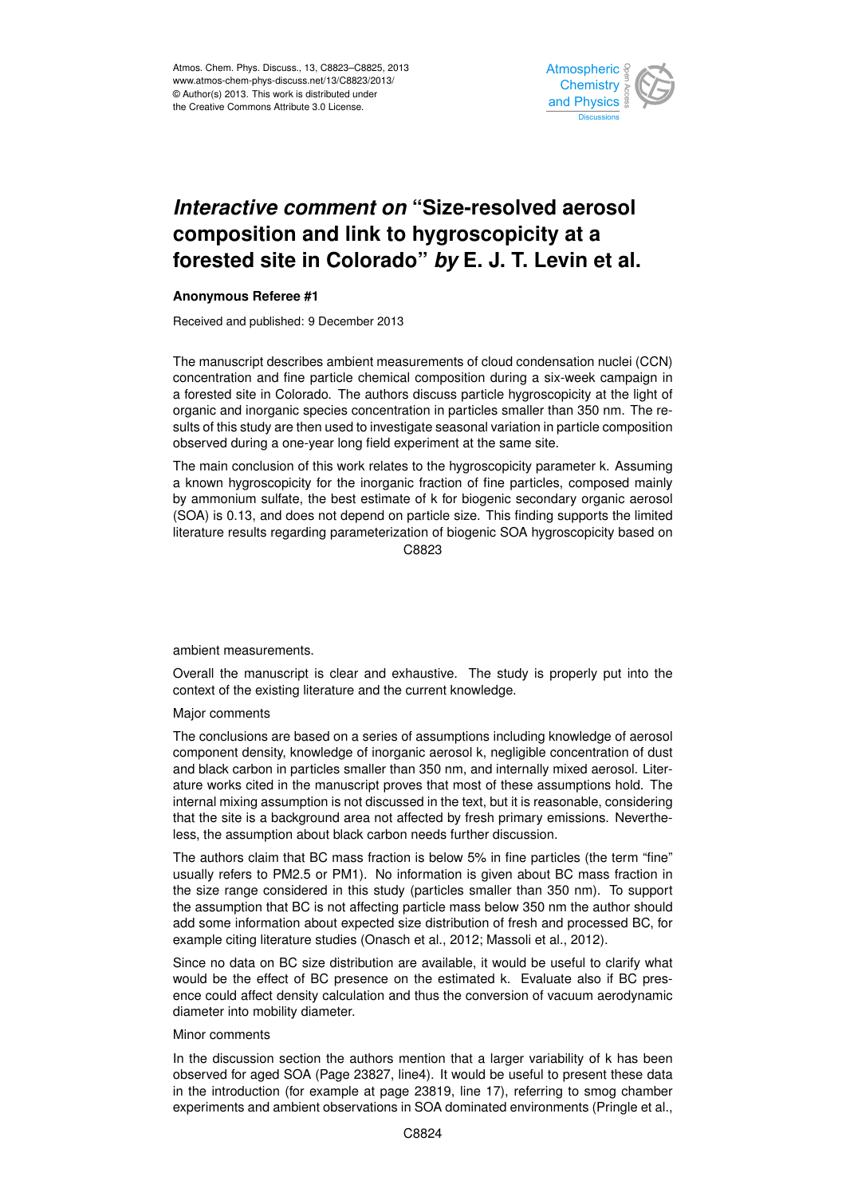

## *Interactive comment on "Size-resolved aerosol*  $\overline{\phantom{0}}$  $\overline{\phantom{a}}$ composition and link to hygroscopicity at a  $\overline{\phantom{a}}$  $\overline{a}$ forested site in Colorado" *by* E. J. T. Levin et al.

## **Anonymous Referee #1**

Received and published: 9 December 2013

oient measurements of cloud condensation nuc u<br>u e<br>e The manuscript describes ambient measurements of cloud condensation nuclei (CCN) a forested site in Colorado. The authors discuss particle hygroscopicity at the light of organic and inorganic species concentration in particles smaller than 350 nm. The results of this study are then used to investigate seasonal variation in particle composition observed during a one-year long field experiment at the same site. i<br>Di -<br>יו concentration and fine particle chemical composition during a six-week campaign in

The main conclusion of this work relates to the hygroscopicity parameter k. Assuming The main conclusion of this work relates to the hygroscopicity parameter K. Assuming<br>a known hygroscopicity for the inorganic fraction of fine particles, composed mainly iony ion the inorganic machon or line particles, compose<br>te, the best estimate of k for biogenic secondary organi u<br>D<br>! .s<br>d<br>; by ammonium sulfate, the best estimate of k for biogenic secondary organic aerosol literature results regarding parameterization of biogenic SOA hygroscopicity based on Earth System  $\sum_{i=1}^n$ Jc<br>C (SOA) is 0.13, and does not depend on particle size. This finding supports the limited C8823

ambient measurements.

context of the existing literature and the current knowledge. าล<br>ว<br> Open Access Overall the manuscript is clear and exhaustive. The study is properly put into the

Major comments

The Cryosphere are capted on a concentration and component density, knowledge of inorganic aerosol k, negligible concentration of dust f<br>n<br>n f<br>n<br>;c and black carbon in particles smaller than 350 nm, and internally mixed aerosol. Liter-The conclusions are based on a series of assumptions including knowledge of aerosol ature works cited in the manuscript proves that most of these assumptions hold. The internal mixing assumption is not discussed in the text, but it is reasonable, considering that the site is a background area not affected by fresh primary emissions. Nevertheless, the assumption about black carbon needs further discussion.

The authors claim that BC mass fraction is below 5% in fine particles (the term "fine" usually refers to PM2.5 or PM1). No information is given about BC mass fraction in the size range considered in this study (particles smaller than 350 nm). To support the assumption that BC is not affecting particle mass below 350 nm the author should add some information about expected size distribution of fresh and processed BC, for example citing literature studies (Onasch et al., 2012; Massoli et al., 2012).

Since no data on BC size distribution are available, it would be useful to clarify what would be the effect of BC presence on the estimated k. Evaluate also if BC presence could affect density calculation and thus the conversion of vacuum aerodynamic diameter into mobility diameter.

## Minor comments

In the discussion section the authors mention that a larger variability of k has been observed for aged SOA (Page 23827, line4). It would be useful to present these data in the introduction (for example at page 23819, line 17), referring to smog chamber experiments and ambient observations in SOA dominated environments (Pringle et al.,